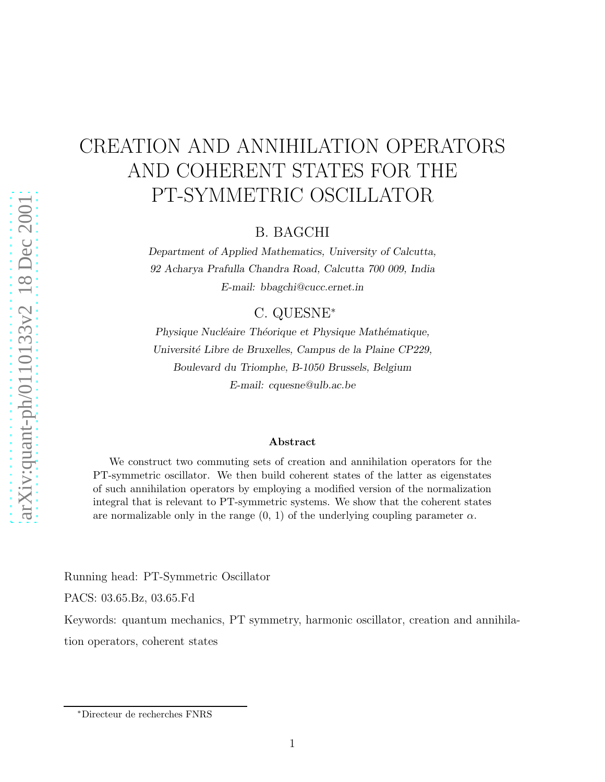## CREATION AND ANNIHILATION OPERATORS AND COHERENT STATES FOR THE PT-SYMMETRIC OSCILLATOR

B. BAGCHI

*Department of Applied Mathematics, University of Calcutta, 92 Acharya Prafulla Chandra Road, Calcutta 700 009, India E-mail: bbagchi@cucc.ernet.in*

C. QUESNE<sup>∗</sup>

*Physique Nucléaire Théorique et Physique Mathématique, Universit´e Libre de Bruxelles, Campus de la Plaine CP229, Boulevard du Triomphe, B-1050 Brussels, Belgium E-mail: cquesne@ulb.ac.be*

## Abstract

We construct two commuting sets of creation and annihilation operators for the PT-symmetric oscillator. We then build coherent states of the latter as eigenstates of such annihilation operators by employing a modified version of the normalization integral that is relevant to PT-symmetric systems. We show that the coherent states are normalizable only in the range  $(0, 1)$  of the underlying coupling parameter  $\alpha$ .

Running head: PT-Symmetric Oscillator

PACS: 03.65.Bz, 03.65.Fd

Keywords: quantum mechanics, PT symmetry, harmonic oscillator, creation and annihila-

tion operators, coherent states

<sup>∗</sup>Directeur de recherches FNRS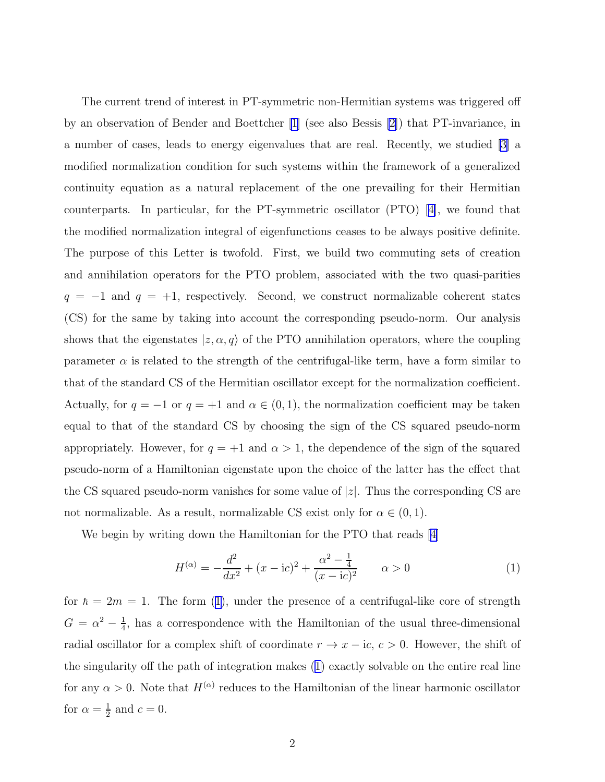The current trend of interest in PT-symmetric non-Hermitian systems was triggered off by an observation of Bender and Boettcher [\[1](#page-8-0)] (see also Bessis [\[2](#page-8-0)]) that PT-invariance, in a number of cases, leads to energy eigenvalues that are real. Recently, we studied[[3\]](#page-8-0) a modified normalization condition for such systems within the framework of a generalized continuity equation as a natural replacement of the one prevailing for their Hermitian counterparts. In particular, for the PT-symmetric oscillator (PTO)[[4\]](#page-8-0), we found that the modified normalization integral of eigenfunctions ceases to be always positive definite. The purpose of this Letter is twofold. First, we build two commuting sets of creation and annihilation operators for the PTO problem, associated with the two quasi-parities  $q = -1$  and  $q = +1$ , respectively. Second, we construct normalizable coherent states (CS) for the same by taking into account the corresponding pseudo-norm. Our analysis shows that the eigenstates  $|z, \alpha, q\rangle$  of the PTO annihilation operators, where the coupling parameter  $\alpha$  is related to the strength of the centrifugal-like term, have a form similar to that of the standard CS of the Hermitian oscillator except for the normalization coefficient. Actually, for  $q = -1$  or  $q = +1$  and  $\alpha \in (0, 1)$ , the normalization coefficient may be taken equal to that of the standard CS by choosing the sign of the CS squared pseudo-norm appropriately. However, for  $q = +1$  and  $\alpha > 1$ , the dependence of the sign of the squared pseudo-norm of a Hamiltonian eigenstate upon the choice of the latter has the effect that the CS squared pseudo-norm vanishes for some value of  $|z|$ . Thus the corresponding CS are not normalizable. As a result, normalizable CS exist only for  $\alpha \in (0,1)$ .

We begin by writing down the Hamiltonian for the PTO that reads[[4\]](#page-8-0)

$$
H^{(\alpha)} = -\frac{d^2}{dx^2} + (x - \mathrm{i}c)^2 + \frac{\alpha^2 - \frac{1}{4}}{(x - \mathrm{i}c)^2} \qquad \alpha > 0 \tag{1}
$$

for  $\hbar = 2m = 1$ . The form (1), under the presence of a centrifugal-like core of strength  $G = \alpha^2 - \frac{1}{4}$  $\frac{1}{4}$ , has a correspondence with the Hamiltonian of the usual three-dimensional radial oscillator for a complex shift of coordinate  $r \to x - ic, c > 0$ . However, the shift of the singularity off the path of integration makes (1) exactly solvable on the entire real line for any  $\alpha > 0$ . Note that  $H^{(\alpha)}$  reduces to the Hamiltonian of the linear harmonic oscillator for  $\alpha = \frac{1}{2}$  $\frac{1}{2}$  and  $c = 0$ .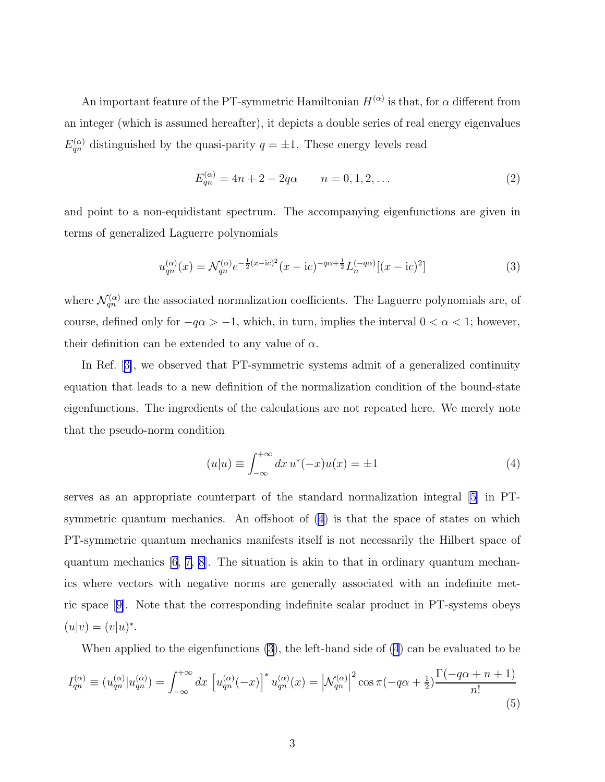<span id="page-2-0"></span>An important feature of the PT-symmetric Hamiltonian  $H^{(\alpha)}$  is that, for  $\alpha$  different from an integer (which is assumed hereafter), it depicts a double series of real energy eigenvalues  $E_{qn}^{(\alpha)}$  distinguished by the quasi-parity  $q = \pm 1$ . These energy levels read

$$
E_{qn}^{(\alpha)} = 4n + 2 - 2q\alpha \qquad n = 0, 1, 2, \dots \tag{2}
$$

and point to a non-equidistant spectrum. The accompanying eigenfunctions are given in terms of generalized Laguerre polynomials

$$
u_{qn}^{(\alpha)}(x) = \mathcal{N}_{qn}^{(\alpha)} e^{-\frac{1}{2}(x-\mathrm{i}c)^2} (x-\mathrm{i}c)^{-q\alpha+\frac{1}{2}} L_n^{(-q\alpha)}[(x-\mathrm{i}c)^2]
$$
(3)

where  $\mathcal{N}_{qn}^{(\alpha)}$  are the associated normalization coefficients. The Laguerre polynomials are, of course, defined only for  $-q\alpha > -1$ , which, in turn, implies the interval  $0 < \alpha < 1$ ; however, their definition can be extended to any value of  $\alpha$ .

In Ref.[[3\]](#page-8-0), we observed that PT-symmetric systems admit of a generalized continuity equation that leads to a new definition of the normalization condition of the bound-state eigenfunctions. The ingredients of the calculations are not repeated here. We merely note that the pseudo-norm condition

$$
(u|u) \equiv \int_{-\infty}^{+\infty} dx \, u^*(-x)u(x) = \pm 1 \tag{4}
$$

serves as an appropriate counterpart of the standard normalization integral [\[5](#page-8-0)] in PTsymmetric quantum mechanics. An offshoot of (4) is that the space of states on which PT-symmetric quantum mechanics manifests itself is not necessarily the Hilbert space of quantum mechanics [\[6](#page-8-0), [7, 8](#page-8-0)]. The situation is akin to that in ordinary quantum mechanics where vectors with negative norms are generally associated with an indefinite metric space[[9\]](#page-8-0). Note that the corresponding indefinite scalar product in PT-systems obeys  $(u|v) = (v|u)^*.$ 

When applied to the eigenfunctions (3), the left-hand side of (4) can be evaluated to be

$$
I_{qn}^{(\alpha)} \equiv (u_{qn}^{(\alpha)} | u_{qn}^{(\alpha)}) = \int_{-\infty}^{+\infty} dx \left[ u_{qn}^{(\alpha)} (-x) \right]^* u_{qn}^{(\alpha)} (x) = \left| \mathcal{N}_{qn}^{(\alpha)} \right|^2 \cos \pi (-q\alpha + \frac{1}{2}) \frac{\Gamma(-q\alpha + n + 1)}{n!}
$$
(5)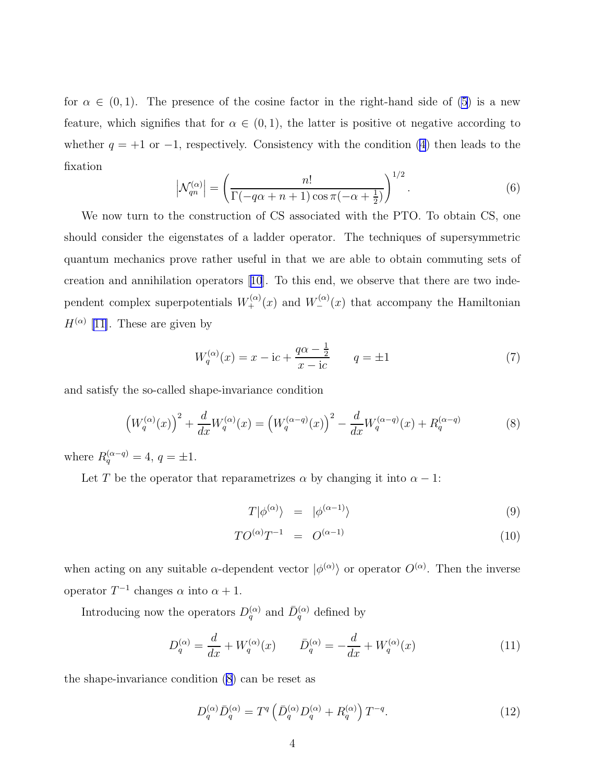for  $\alpha \in (0,1)$ . The presence of the cosine factor in the right-hand side of [\(5](#page-2-0)) is a new feature, which signifies that for  $\alpha \in (0,1)$ , the latter is positive ot negative according to whether  $q = +1$  or  $-1$ , respectively. Consistency with the condition [\(4](#page-2-0)) then leads to the fixation

$$
\left|\mathcal{N}_{qn}^{(\alpha)}\right| = \left(\frac{n!}{\Gamma(-q\alpha + n + 1)\cos\pi(-\alpha + \frac{1}{2})}\right)^{1/2}.\tag{6}
$$

We now turn to the construction of CS associated with the PTO. To obtain CS, one should consider the eigenstates of a ladder operator. The techniques of supersymmetric quantum mechanics prove rather useful in that we are able to obtain commuting sets of creation and annihilation operators[[10](#page-8-0)]. To this end, we observe that there are two independent complex superpotentials  $W_{+}^{(\alpha)}(x)$  and  $W_{-}^{(\alpha)}(x)$  that accompany the Hamiltonian  $H^{(\alpha)}$  [\[11\]](#page-8-0). These are given by

$$
W_q^{(\alpha)}(x) = x - i c + \frac{q\alpha - \frac{1}{2}}{x - i c} \qquad q = \pm 1
$$
 (7)

and satisfy the so-called shape-invariance condition

$$
\left(W_q^{(\alpha)}(x)\right)^2 + \frac{d}{dx}W_q^{(\alpha)}(x) = \left(W_q^{(\alpha-q)}(x)\right)^2 - \frac{d}{dx}W_q^{(\alpha-q)}(x) + R_q^{(\alpha-q)}\tag{8}
$$

where  $R_q^{(\alpha-q)} = 4, q = \pm 1.$ 

Let T be the operator that reparametrizes  $\alpha$  by changing it into  $\alpha - 1$ :

$$
T|\phi^{(\alpha)}\rangle = |\phi^{(\alpha-1)}\rangle \tag{9}
$$

$$
TO^{(\alpha)}T^{-1} = O^{(\alpha-1)} \tag{10}
$$

when acting on any suitable  $\alpha$ -dependent vector  $|\phi^{(\alpha)}\rangle$  or operator  $O^{(\alpha)}$ . Then the inverse operator  $T^{-1}$  changes  $\alpha$  into  $\alpha + 1$ .

Introducing now the operators  $D_q^{(\alpha)}$  and  $\bar{D}_q^{(\alpha)}$  defined by

$$
D_q^{(\alpha)} = \frac{d}{dx} + W_q^{(\alpha)}(x) \qquad \bar{D}_q^{(\alpha)} = -\frac{d}{dx} + W_q^{(\alpha)}(x) \tag{11}
$$

the shape-invariance condition (8) can be reset as

$$
D_q^{(\alpha)} \bar{D}_q^{(\alpha)} = T^q \left( \bar{D}_q^{(\alpha)} D_q^{(\alpha)} + R_q^{(\alpha)} \right) T^{-q}.
$$
 (12)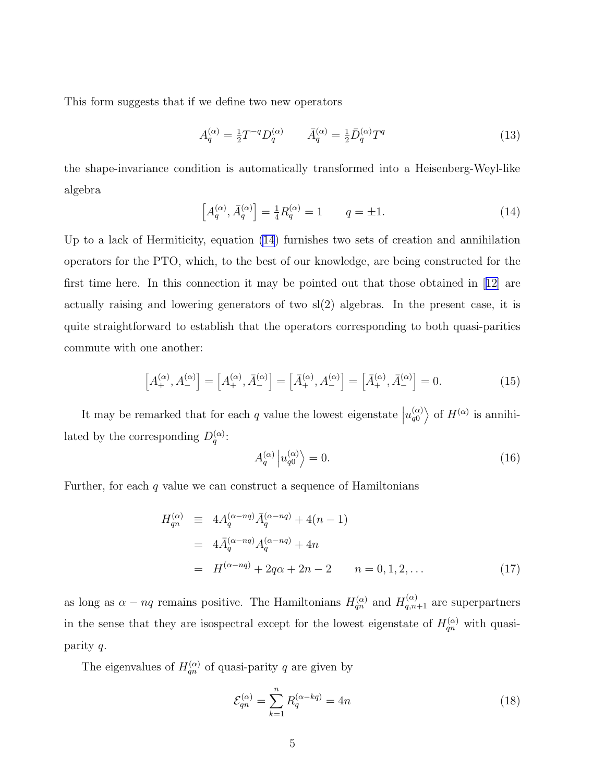This form suggests that if we define two new operators

$$
A_q^{(\alpha)} = \frac{1}{2} T^{-q} D_q^{(\alpha)} \qquad \bar{A}_q^{(\alpha)} = \frac{1}{2} \bar{D}_q^{(\alpha)} T^q \tag{13}
$$

the shape-invariance condition is automatically transformed into a Heisenberg-Weyl-like algebra

$$
\[A_q^{(\alpha)}, \bar{A}_q^{(\alpha)}\] = \frac{1}{4} R_q^{(\alpha)} = 1 \qquad q = \pm 1. \tag{14}
$$

Up to a lack of Hermiticity, equation (14) furnishes two sets of creation and annihilation operators for the PTO, which, to the best of our knowledge, are being constructed for the first time here. In this connection it may be pointed out that those obtained in[[12\]](#page-8-0) are actually raising and lowering generators of two  $sl(2)$  algebras. In the present case, it is quite straightforward to establish that the operators corresponding to both quasi-parities commute with one another:

$$
\left[A_{+}^{(\alpha)}, A_{-}^{(\alpha)}\right] = \left[A_{+}^{(\alpha)}, \bar{A}_{-}^{(\alpha)}\right] = \left[\bar{A}_{+}^{(\alpha)}, A_{-}^{(\alpha)}\right] = \left[\bar{A}_{+}^{(\alpha)}, \bar{A}_{-}^{(\alpha)}\right] = 0.
$$
 (15)

It may be remarked that for each q value the lowest eigenstate  $\left| u_{q0}^{(\alpha)} \right|$  $\binom{\alpha}{q0}$  of  $H^{(\alpha)}$  is annihilated by the corresponding  $D_q^{(\alpha)}$ :

$$
A_q^{(\alpha)} |u_{q0}^{(\alpha)}\rangle = 0.
$$
 (16)

Further, for each  $q$  value we can construct a sequence of Hamiltonians

$$
H_{qn}^{(\alpha)} \equiv 4A_q^{(\alpha - nq)} \bar{A}_q^{(\alpha - nq)} + 4(n - 1)
$$
  
=  $4\bar{A}_q^{(\alpha - nq)} A_q^{(\alpha - nq)} + 4n$   
=  $H^{(\alpha - nq)} + 2q\alpha + 2n - 2$   $n = 0, 1, 2, ...$  (17)

as long as  $\alpha - nq$  remains positive. The Hamiltonians  $H_{qn}^{(\alpha)}$  and  $H_{qn+1}^{(\alpha)}$  are superpartners in the sense that they are isospectral except for the lowest eigenstate of  $H_{qn}^{(\alpha)}$  with quasiparity q.

The eigenvalues of  $H_{qn}^{(\alpha)}$  of quasi-parity q are given by

$$
\mathcal{E}_{qn}^{(\alpha)} = \sum_{k=1}^{n} R_q^{(\alpha - kq)} = 4n \tag{18}
$$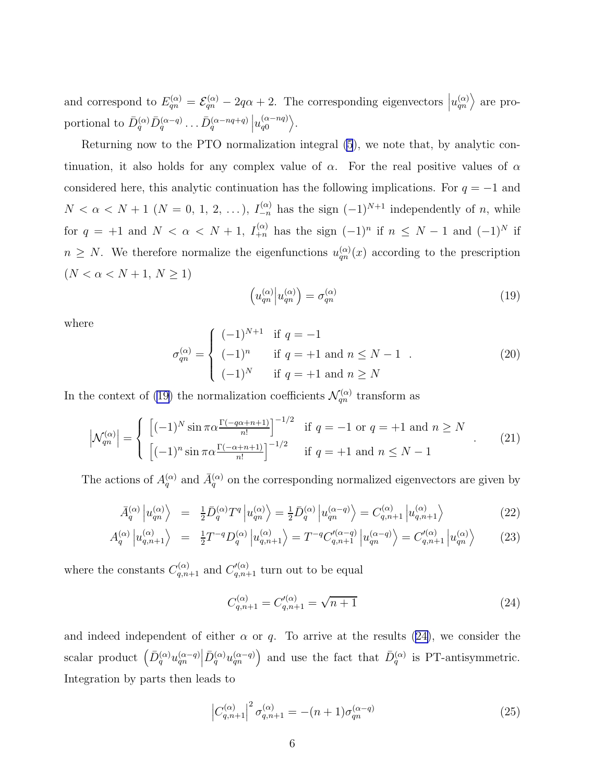and correspond to  $E_{qn}^{(\alpha)} = \mathcal{E}_{qn}^{(\alpha)} - 2q\alpha + 2$ . The corresponding eigenvectors  $|u_{qn}^{(\alpha)}\rangle$  are proportional to  $\bar{D}_q^{(\alpha)} \bar{D}_q^{(\alpha-q)} \dots \bar{D}_q^{(\alpha-nq+q)} \left| u_{q0}^{(\alpha-nq)} \right\rangle$ .

Returning now to the PTO normalization integral [\(5](#page-2-0)), we note that, by analytic continuation, it also holds for any complex value of  $\alpha$ . For the real positive values of  $\alpha$ considered here, this analytic continuation has the following implications. For  $q = -1$  and  $N < \alpha < N + 1$  ( $N = 0, 1, 2, ...$ ),  $I_{-n}^{(\alpha)}$  has the sign  $(-1)^{N+1}$  independently of n, while for  $q = +1$  and  $N < \alpha < N + 1$ ,  $I_{+n}^{(\alpha)}$  has the sign  $(-1)^n$  if  $n \leq N - 1$  and  $(-1)^N$  if  $n \geq N$ . We therefore normalize the eigenfunctions  $u_{qn}^{(\alpha)}(x)$  according to the prescription  $(N < \alpha < N+1,\,N \ge 1)$ 

$$
\left(u_{qn}^{(\alpha)}\middle|u_{qn}^{(\alpha)}\right) = \sigma_{qn}^{(\alpha)}\tag{19}
$$

where

$$
\sigma_{qn}^{(\alpha)} = \begin{cases}\n(-1)^{N+1} & \text{if } q = -1 \\
(-1)^n & \text{if } q = +1 \text{ and } n \le N - 1 \\
(-1)^N & \text{if } q = +1 \text{ and } n \ge N\n\end{cases} (20)
$$

In the context of (19) the normalization coefficients  $\mathcal{N}_{qn}^{(\alpha)}$  transform as

$$
\left| \mathcal{N}_{qn}^{(\alpha)} \right| = \begin{cases} \left[ (-1)^N \sin \pi \alpha \frac{\Gamma(-q\alpha + n + 1)}{n!} \right]^{-1/2} & \text{if } q = -1 \text{ or } q = +1 \text{ and } n \ge N \\ \left[ (-1)^n \sin \pi \alpha \frac{\Gamma(-\alpha + n + 1)}{n!} \right]^{-1/2} & \text{if } q = +1 \text{ and } n \le N - 1 \end{cases}
$$
(21)

The actions of  $A_q^{(\alpha)}$  and  $\bar{A}_q^{(\alpha)}$  on the corresponding normalized eigenvectors are given by

$$
\bar{A}_q^{(\alpha)} \left| u_{qn}^{(\alpha)} \right\rangle = \frac{1}{2} \bar{D}_q^{(\alpha)} T^q \left| u_{qn}^{(\alpha)} \right\rangle = \frac{1}{2} \bar{D}_q^{(\alpha)} \left| u_{qn}^{(\alpha-q)} \right\rangle = C_{q,n+1}^{(\alpha)} \left| u_{q,n+1}^{(\alpha)} \right\rangle \tag{22}
$$

$$
A_q^{(\alpha)} |u_{q,n+1}^{(\alpha)} \rangle = \frac{1}{2} T^{-q} D_q^{(\alpha)} |u_{q,n+1}^{(\alpha)} \rangle = T^{-q} C_{q,n+1}^{\prime(\alpha-q)} |u_{qn}^{(\alpha-q)} \rangle = C_{q,n+1}^{\prime(\alpha)} |u_{qn}^{(\alpha)} \rangle \tag{23}
$$

where the constants  $C_{q,n+1}^{(\alpha)}$  and  $C_{q,n+1}^{\prime(\alpha)}$  turn out to be equal

$$
C_{q,n+1}^{(\alpha)} = C_{q,n+1}^{\prime(\alpha)} = \sqrt{n+1}
$$
\n(24)

and indeed independent of either  $\alpha$  or q. To arrive at the results (24), we consider the scalar product  $\left(\bar{D}_q^{(\alpha)}u_{qn}^{(\alpha-q)}\middle|\bar{D}_q^{(\alpha)}u_{qn}^{(\alpha-q)}\right)$  and use the fact that  $\bar{D}_q^{(\alpha)}$  is PT-antisymmetric. Integration by parts then leads to

$$
\left| C_{q,n+1}^{(\alpha)} \right|^2 \sigma_{q,n+1}^{(\alpha)} = -(n+1)\sigma_{qn}^{(\alpha-q)} \tag{25}
$$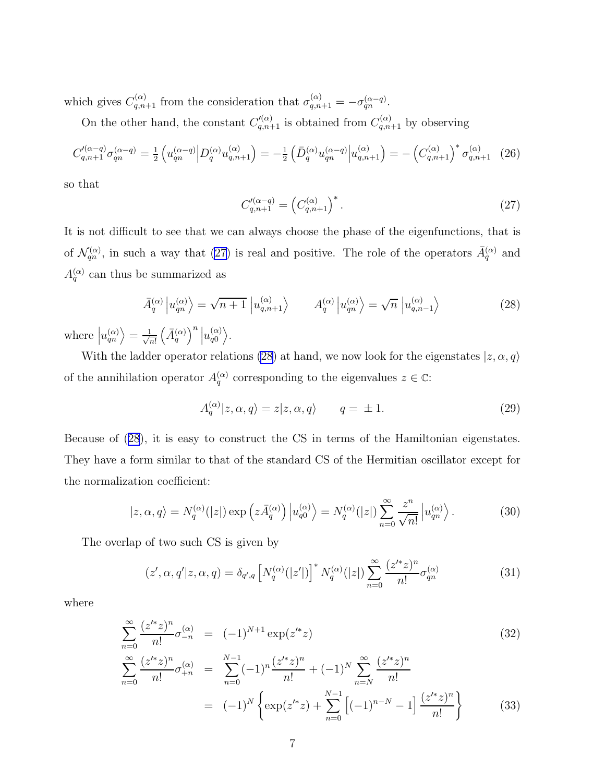<span id="page-6-0"></span>which gives  $C_{q,n+1}^{(\alpha)}$  from the consideration that  $\sigma_{q,n+1}^{(\alpha)} = -\sigma_{qn}^{(\alpha-q)}$ .

On the other hand, the constant  $C_{q,n+1}'^{(\alpha)}$  is obtained from  $C_{q,n+1}^{(\alpha)}$  by observing

$$
C_{q,n+1}^{\prime(\alpha-q)}\sigma_{qn}^{(\alpha-q)} = \frac{1}{2} \left( u_{qn}^{(\alpha-q)} \middle| D_q^{(\alpha)} u_{q,n+1}^{(\alpha)} \right) = -\frac{1}{2} \left( \bar{D}_q^{(\alpha)} u_{qn}^{(\alpha-q)} \middle| u_{q,n+1}^{(\alpha)} \right) = -\left( C_{q,n+1}^{(\alpha)} \right)^* \sigma_{q,n+1}^{(\alpha)} \tag{26}
$$

so that

$$
C_{q,n+1}^{\prime(\alpha-q)} = \left(C_{q,n+1}^{(\alpha)}\right)^*.
$$
\n(27)

It is not difficult to see that we can always choose the phase of the eigenfunctions, that is of  $\mathcal{N}_{qn}^{(\alpha)}$ , in such a way that (27) is real and positive. The role of the operators  $\bar{A}_{q}^{(\alpha)}$  and  $A_q^{(\alpha)}$  can thus be summarized as

$$
\bar{A}_q^{(\alpha)} \left| u_{qn}^{(\alpha)} \right\rangle = \sqrt{n+1} \left| u_{q,n+1}^{(\alpha)} \right\rangle \qquad A_q^{(\alpha)} \left| u_{qn}^{(\alpha)} \right\rangle = \sqrt{n} \left| u_{q,n-1}^{(\alpha)} \right\rangle \tag{28}
$$

where  $|u_{qn}^{(\alpha)}\rangle = \frac{1}{\sqrt{n}}$ n!  $\left(\bar{A}_q^{(\alpha)}\right)^n\left|u_{q0}^{(\alpha)}\right.$  $\begin{pmatrix} \alpha \ q 0 \end{pmatrix}$ .

With the ladder operator relations (28) at hand, we now look for the eigenstates  $|z, \alpha, q\rangle$ of the annihilation operator  $A_q^{(\alpha)}$  corresponding to the eigenvalues  $z \in \mathbb{C}$ :

$$
A_q^{(\alpha)}|z,\alpha,q\rangle = z|z,\alpha,q\rangle \qquad q = \pm 1. \tag{29}
$$

Because of (28), it is easy to construct the CS in terms of the Hamiltonian eigenstates. They have a form similar to that of the standard CS of the Hermitian oscillator except for the normalization coefficient:

$$
|z,\alpha,q\rangle = N_q^{(\alpha)}(|z|) \exp\left(z\bar{A}_q^{(\alpha)}\right) \left|u_{q0}^{(\alpha)}\right\rangle = N_q^{(\alpha)}(|z|) \sum_{n=0}^{\infty} \frac{z^n}{\sqrt{n!}} \left|u_{qn}^{(\alpha)}\right\rangle. \tag{30}
$$

The overlap of two such CS is given by

$$
(z', \alpha, q'|z, \alpha, q) = \delta_{q',q} \left[ N_q^{(\alpha)}(|z'|) \right]^* N_q^{(\alpha)}(|z|) \sum_{n=0}^{\infty} \frac{(z'^*z)^n}{n!} \sigma_{qn}^{(\alpha)} \tag{31}
$$

where

$$
\sum_{n=0}^{\infty} \frac{(z'^*z)^n}{n!} \sigma_{-n}^{(\alpha)} = (-1)^{N+1} \exp(z'^*z)
$$
\n
$$
\sum_{n=0}^{\infty} \frac{(z'^*z)^n}{n!} \sigma_{+n}^{(\alpha)} = \sum_{n=0}^{N-1} (-1)^n \frac{(z'^*z)^n}{n!} + (-1)^N \sum_{n=N}^{\infty} \frac{(z'^*z)^n}{n!}
$$
\n(32)

$$
= (-1)^N \left\{ \exp(z'^*z) + \sum_{n=0}^{N-1} \left[ (-1)^{n-N} - 1 \right] \frac{(z'^*z)^n}{n!} \right\}
$$
(33)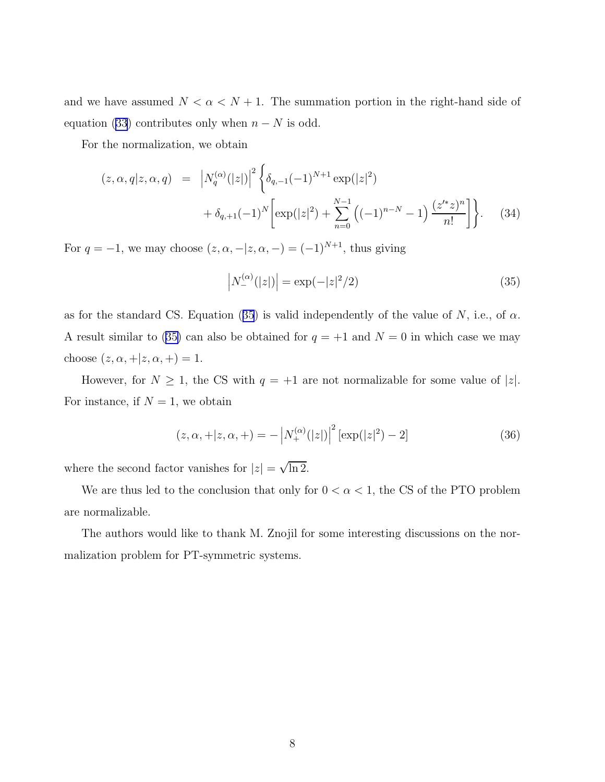and we have assumed  $N < \alpha < N + 1$ . The summation portion in the right-hand side of equation [\(33](#page-6-0)) contributes only when  $n - N$  is odd.

For the normalization, we obtain

$$
(z, \alpha, q | z, \alpha, q) = |N_q^{(\alpha)}(|z|)|^2 \left\{ \delta_{q,-1}(-1)^{N+1} \exp(|z|^2) + \delta_{q,+1}(-1)^N \left[ \exp(|z|^2) + \sum_{n=0}^{N-1} \left( (-1)^{n-N} - 1 \right) \frac{(z'^* z)^n}{n!} \right] \right\}.
$$
 (34)

For  $q = -1$ , we may choose  $(z, \alpha, -|z, \alpha, -) = (-1)^{N+1}$ , thus giving

$$
\left|N_{-}^{(\alpha)}(|z|)\right| = \exp(-|z|^2/2)
$$
\n(35)

as for the standard CS. Equation (35) is valid independently of the value of N, i.e., of  $\alpha$ . A result similar to (35) can also be obtained for  $q = +1$  and  $N = 0$  in which case we may choose  $(z, \alpha, +|z, \alpha, +) = 1$ .

However, for  $N \ge 1$ , the CS with  $q = +1$  are not normalizable for some value of |z|. For instance, if  $N = 1$ , we obtain

$$
(z, \alpha, +|z, \alpha, +) = -\left| N_{+}^{(\alpha)}(|z|) \right|^2 [\exp(|z|^2) - 2] \tag{36}
$$

where the second factor vanishes for  $|z| = \sqrt{\ln 2}$ .

We are thus led to the conclusion that only for  $0 < \alpha < 1$ , the CS of the PTO problem are normalizable.

The authors would like to thank M. Znojil for some interesting discussions on the normalization problem for PT-symmetric systems.